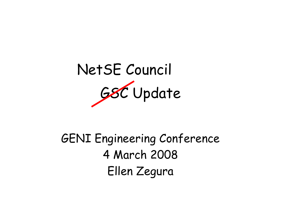

GENI Engineering Conference 4 March 2008 Ellen Zegura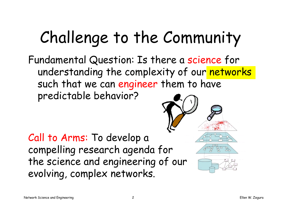# Challenge to the Community

Fundamental Question: Is there a science for understanding the complexity of our networks such that we can engineer them to have predictable behavior?

Call to Arms: To develop a compelling research agenda for the science and engineering of our evolving, complex networks.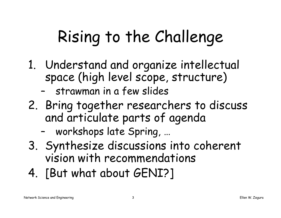# Rising to the Challenge

- 1. Understand and organize intellectual space (high level scope, structure)
	- –strawman in a few slides
- 2. Bring together researchers to discuss and articulate parts of agenda
	- –workshops late Spring, …
- 3. Synthesize discussions into coherent vision with recommendations
- 4. [But what about GENI?]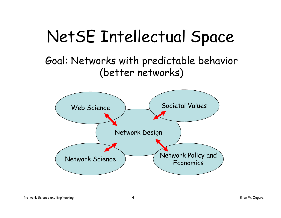#### NetSE Intellectual Space

#### Goal: Networks with predictable behavior (better networks)

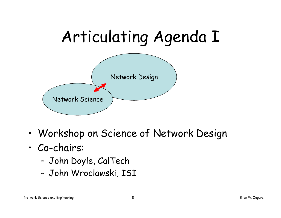

- •Workshop on Science of Network Design
- • Co-chairs:
	- –John Doyle, CalTech
	- –John Wroclawski, ISI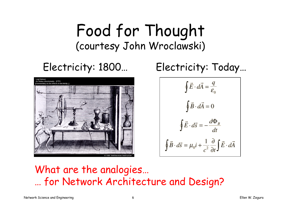#### Food for Thought (courtesy John Wroclawski)



#### Electricity: 1800… Electricity: Today…

$$
\oint \vec{E} \cdot d\vec{A} = \frac{q}{\varepsilon_0}
$$

$$
\oint \vec{B} \cdot d\vec{A} = 0
$$

$$
\oint \vec{E} \cdot d\vec{s} = -\frac{d\Phi_B}{dt}
$$

$$
\oint \vec{B} \cdot d\vec{s} = \mu_0 i + \frac{1}{c^2} \frac{\partial}{\partial t} \int \vec{E} \cdot d\vec{A}
$$

#### What are the analogies… … for Network Architecture and Design?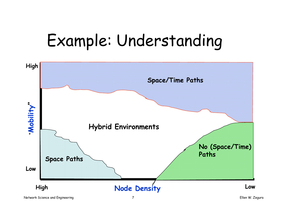# Example: Understanding

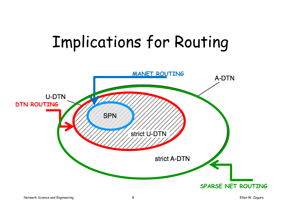# Implications for Routing

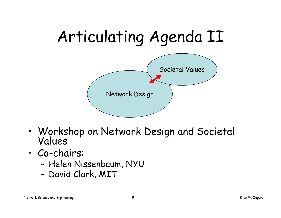

- •Workshop on Network Design and Societal Values
- • Co-chairs:
	- –Helen Nissenbaum, NYU
	- –David Clark, MIT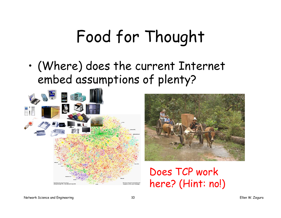# Food for Thought

• (Where) does the current Internet embed assumptions of plenty?





Does TCP work here? (Hint: no!)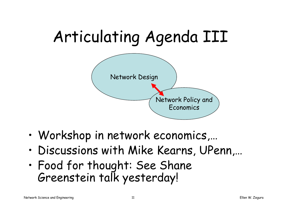

- •Workshop in network economics,…
- •Discussions with Mike Kearns, UPenn,…
- • Food for thought: See Shane Greenstein talk yesterday!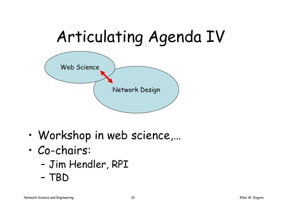

- •Workshop in web science,…
- • Co-chairs:
	- –Jim Hendler, RPI
	- –TBD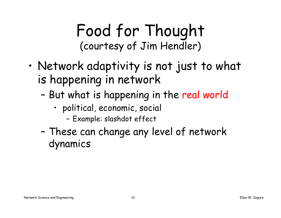#### Food for Thought (courtesy of Jim Hendler)

- • Network adaptivity is not just to what is happening in network
	- – But what is happening in the real world
		- political, economic, social
			- –Example: slashdot effect
	- – These can change any level of network dynamics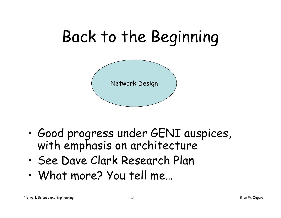

- • Good progress under GENI auspices, with emphasis on architecture
- •See Dave Clark Research Plan
- •What more? You tell me…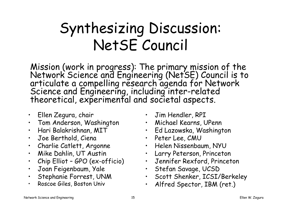#### Synthesizing Discussion: NetSE Council

Mission (work in progress): The primary mission of the<br>Network Science and Engineering (NetSE) Council is to<br>articulate a compelling research agenda for Network<br>Science and Engineering, including inter-related<br>theoretical,

- $\bullet$ Ellen Zegura, chair
- Tom Anderson, Washington
- •Hari Balakrishnan, MIT
- Joe Berthold, Ciena
- $\bullet$ Charlie Catlett, Argonne
- Mike Dahlin, UT Austin
- •Chip Elliot – GPO (ex-officio)
- •Joan Feigenbaum, Yale
- •Stephanie Forrest, UNM
- •Roscoe Giles, Boston Univ
- Jim Hendler, RPI
- Michael Kearns, UPenn
- Ed Lazowska, Washington
- Peter Lee, CMU
- Helen Nissenbaum, NYU
- Larry Peterson, Princeton
- Jennifer Rexford, Princeton
- Stefan Savage, UCSD
- Scott Shenker, ICSI/Berkeley
- •Alfred Spector, IBM (ret.)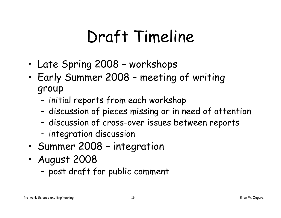# Draft Timeline

- •Late Spring 2008 – workshops
- • Early Summer 2008 – meeting of writing group
	- –initial reports from each workshop
	- –discussion of pieces missing or in need of attention
	- –discussion of cross-over issues between reports
	- –integration discussion
- •Summer 2008 – integration
- • August 2008
	- –post draft for public comment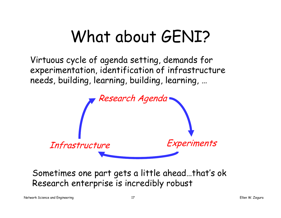### What about GENI?

Virtuous cycle of agenda setting, demands for experimentation, identification of infrastructure needs, building, learning, building, learning, …



Sometimes one part gets a little ahead…that's ok Research enterprise is incredibly robust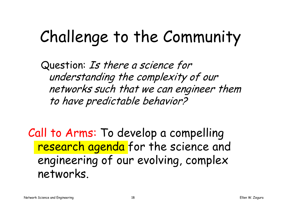# Challenge to the Community

Question: Is there a science for understanding the complexity of our networks such that we can engineer them to have predictable behavior?

Call to Arms: To develop a compelling research agenda for the science and engineering of our evolving, complex networks.